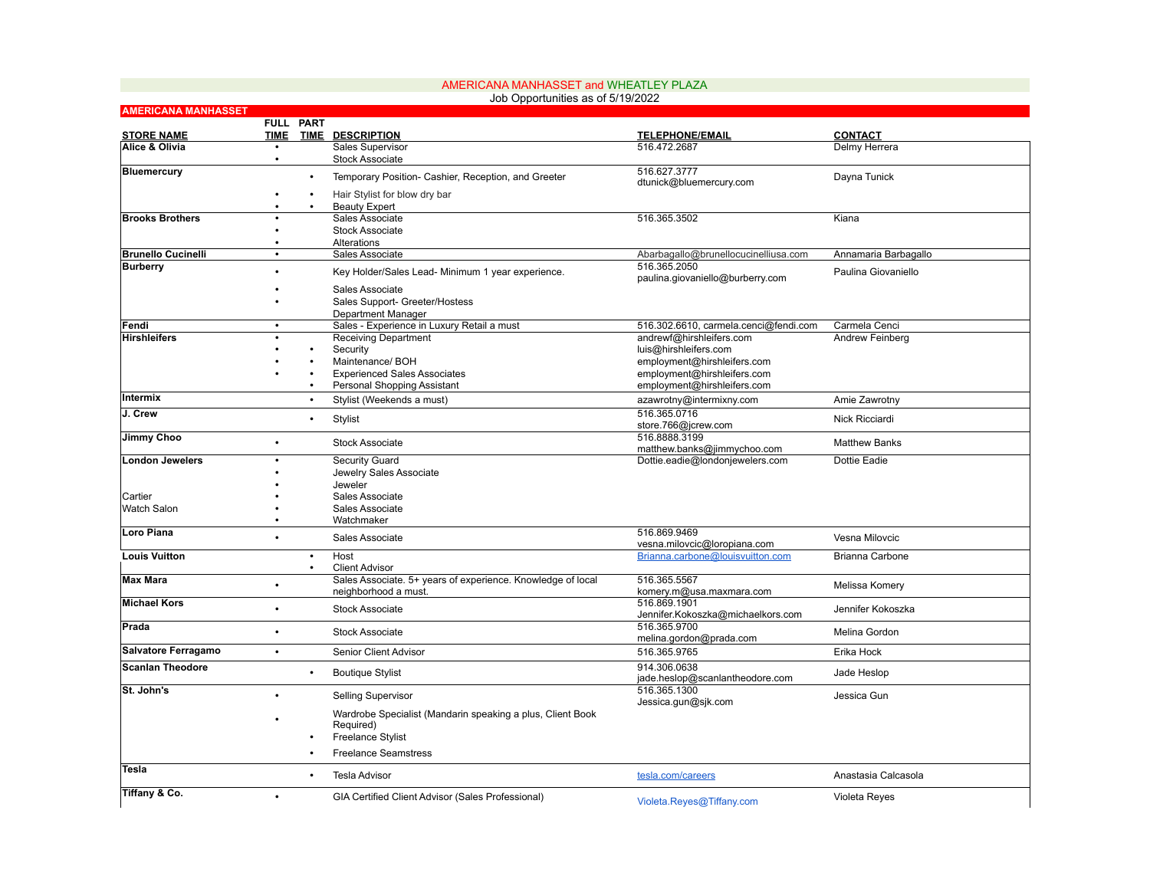| Job Opportunities as of 5/19/2022 |             |                        |                                                                                                                                    |                                                                   |                                  |  |  |
|-----------------------------------|-------------|------------------------|------------------------------------------------------------------------------------------------------------------------------------|-------------------------------------------------------------------|----------------------------------|--|--|
| <b>AMERICANA MANHASSET</b>        |             | <b>FULL PART</b>       |                                                                                                                                    |                                                                   |                                  |  |  |
| <b>STORE NAME</b>                 | <b>TIME</b> |                        | <b>TIME DESCRIPTION</b>                                                                                                            | <b>TELEPHONE/EMAIL</b>                                            | <b>CONTACT</b>                   |  |  |
| Alice & Olivia                    | $\bullet$   |                        | Sales Supervisor                                                                                                                   | 516.472.2687                                                      | Delmy Herrera                    |  |  |
|                                   | $\bullet$   |                        | <b>Stock Associate</b>                                                                                                             |                                                                   |                                  |  |  |
| <b>Bluemercury</b>                |             | $\bullet$              | Temporary Position- Cashier, Reception, and Greeter                                                                                | 516.627.3777<br>dtunick@bluemercury.com                           | Dayna Tunick                     |  |  |
|                                   |             | $\bullet$<br>$\bullet$ | Hair Stylist for blow dry bar<br><b>Beauty Expert</b>                                                                              |                                                                   |                                  |  |  |
| <b>Brooks Brothers</b>            |             |                        | Sales Associate                                                                                                                    | 516.365.3502                                                      | Kiana                            |  |  |
|                                   |             |                        | <b>Stock Associate</b>                                                                                                             |                                                                   |                                  |  |  |
| <b>Brunello Cucinelli</b>         | $\bullet$   |                        | Alterations<br>Sales Associate                                                                                                     | Abarbagallo@brunellocucinelliusa.com                              | Annamaria Barbagallo             |  |  |
| <b>Burberry</b>                   |             |                        |                                                                                                                                    | 516.365.2050                                                      |                                  |  |  |
|                                   |             |                        | Key Holder/Sales Lead- Minimum 1 year experience.                                                                                  | paulina.giovaniello@burberry.com                                  | Paulina Giovaniello              |  |  |
|                                   |             |                        | Sales Associate                                                                                                                    |                                                                   |                                  |  |  |
|                                   |             |                        | Sales Support- Greeter/Hostess                                                                                                     |                                                                   |                                  |  |  |
|                                   |             |                        | Department Manager                                                                                                                 |                                                                   |                                  |  |  |
| Fendi<br><b>Hirshleifers</b>      | $\bullet$   |                        | Sales - Experience in Luxury Retail a must<br><b>Receiving Department</b>                                                          | 516.302.6610, carmela.cenci@fendi.com<br>andrewf@hirshleifers.com | Carmela Cenci<br>Andrew Feinberg |  |  |
|                                   |             |                        | Security                                                                                                                           | luis@hirshleifers.com                                             |                                  |  |  |
|                                   |             |                        | Maintenance/ BOH                                                                                                                   | employment@hirshleifers.com                                       |                                  |  |  |
|                                   |             |                        | <b>Experienced Sales Associates</b>                                                                                                | employment@hirshleifers.com                                       |                                  |  |  |
|                                   |             | $\bullet$              | Personal Shopping Assistant                                                                                                        | employment@hirshleifers.com                                       |                                  |  |  |
| Intermix                          |             | $\bullet$              | Stylist (Weekends a must)                                                                                                          | azawrotny@intermixny.com                                          | Amie Zawrotny                    |  |  |
| J. Crew                           |             | $\bullet$              | Stylist                                                                                                                            | 516.365.0716<br>store.766@jcrew.com                               | Nick Ricciardi                   |  |  |
| Jimmy Choo                        |             |                        | <b>Stock Associate</b>                                                                                                             | 516.8888.3199<br>matthew.banks@jimmychoo.com                      | <b>Matthew Banks</b>             |  |  |
| <b>London Jewelers</b>            |             |                        | Security Guard                                                                                                                     | Dottie.eadie@londonjewelers.com                                   | Dottie Eadie                     |  |  |
|                                   |             |                        | Jewelry Sales Associate                                                                                                            |                                                                   |                                  |  |  |
| Cartier                           |             |                        | Jeweler<br>Sales Associate                                                                                                         |                                                                   |                                  |  |  |
| <b>Watch Salon</b>                |             |                        | Sales Associate                                                                                                                    |                                                                   |                                  |  |  |
|                                   |             |                        | Watchmaker                                                                                                                         |                                                                   |                                  |  |  |
| Loro Piana                        |             |                        | Sales Associate                                                                                                                    | 516.869.9469<br>vesna.milovcic@loropiana.com                      | Vesna Milovcic                   |  |  |
| <b>Louis Vuitton</b>              |             | $\bullet$              | Host                                                                                                                               | Brianna.carbone@louisvuitton.com                                  | Brianna Carbone                  |  |  |
|                                   |             | $\bullet$              | <b>Client Advisor</b>                                                                                                              |                                                                   |                                  |  |  |
| <b>Max Mara</b>                   |             |                        | Sales Associate. 5+ years of experience. Knowledge of local<br>neighborhood a must.                                                | 516.365.5567<br>komery.m@usa.maxmara.com                          | Melissa Komery                   |  |  |
| <b>Michael Kors</b>               |             |                        | <b>Stock Associate</b>                                                                                                             | 516.869.1901<br>Jennifer.Kokoszka@michaelkors.com                 | Jennifer Kokoszka                |  |  |
| Prada                             |             |                        | <b>Stock Associate</b>                                                                                                             | 516.365.9700<br>melina.gordon@prada.com                           | Melina Gordon                    |  |  |
| Salvatore Ferragamo               | $\bullet$   |                        | Senior Client Advisor                                                                                                              | 516.365.9765                                                      | Erika Hock                       |  |  |
| <b>Scanlan Theodore</b>           |             | $\bullet$              | <b>Boutique Stylist</b>                                                                                                            | 914.306.0638<br>jade.heslop@scanlantheodore.com                   | Jade Heslop                      |  |  |
| St. John's                        |             |                        | <b>Selling Supervisor</b>                                                                                                          | 516.365.1300<br>Jessica.gun@sjk.com                               | Jessica Gun                      |  |  |
|                                   |             |                        | Wardrobe Specialist (Mandarin speaking a plus, Client Book<br>Required)<br><b>Freelance Stylist</b><br><b>Freelance Seamstress</b> |                                                                   |                                  |  |  |
| Tesla                             |             |                        | <b>Tesla Advisor</b>                                                                                                               | tesla.com/careers                                                 | Anastasia Calcasola              |  |  |
| Tiffany & Co.                     |             |                        | GIA Certified Client Advisor (Sales Professional)                                                                                  | Violeta.Reyes@Tiffany.com                                         | Violeta Reyes                    |  |  |

AMERICANA MANHASSET and WHEATLEY PLAZA